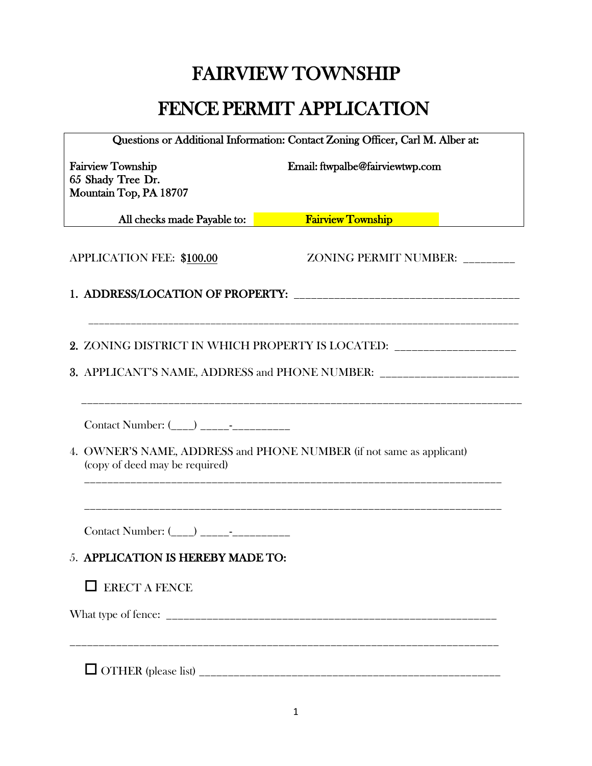# FAIRVIEW TOWNSHIP

# FENCE PERMIT APPLICATION

| Questions or Additional Information: Contact Zoning Officer, Carl M. Alber at: |                                                                                                                      |  |
|--------------------------------------------------------------------------------|----------------------------------------------------------------------------------------------------------------------|--|
| <b>Fairview Township</b><br>65 Shady Tree Dr.<br>Mountain Top, PA 18707        | Email: ftwpalbe@fairviewtwp.com                                                                                      |  |
| All checks made Payable to:                                                    | <b>Exercía Exercía Exercía Exercía Exercía Exercía Exercía Exercía Exercía Exercía Exercía Exercía Exercía Exerc</b> |  |
| <b>APPLICATION FEE: \$100.00</b>                                               | ZONING PERMIT NUMBER: _______                                                                                        |  |
|                                                                                |                                                                                                                      |  |
|                                                                                | 2. ZONING DISTRICT IN WHICH PROPERTY IS LOCATED: __________________                                                  |  |
|                                                                                | 3. APPLICANT'S NAME, ADDRESS and PHONE NUMBER: _________________________________                                     |  |
|                                                                                |                                                                                                                      |  |
| (copy of deed may be required)                                                 | 4. OWNER'S NAME, ADDRESS and PHONE NUMBER (if not same as applicant)                                                 |  |
| Contact Number: $(\_ \_)$ ________________                                     |                                                                                                                      |  |
| <b>5. APPLICATION IS HEREBY MADE TO:</b>                                       |                                                                                                                      |  |
| <b>ERECT A FENCE</b>                                                           |                                                                                                                      |  |
|                                                                                |                                                                                                                      |  |
|                                                                                |                                                                                                                      |  |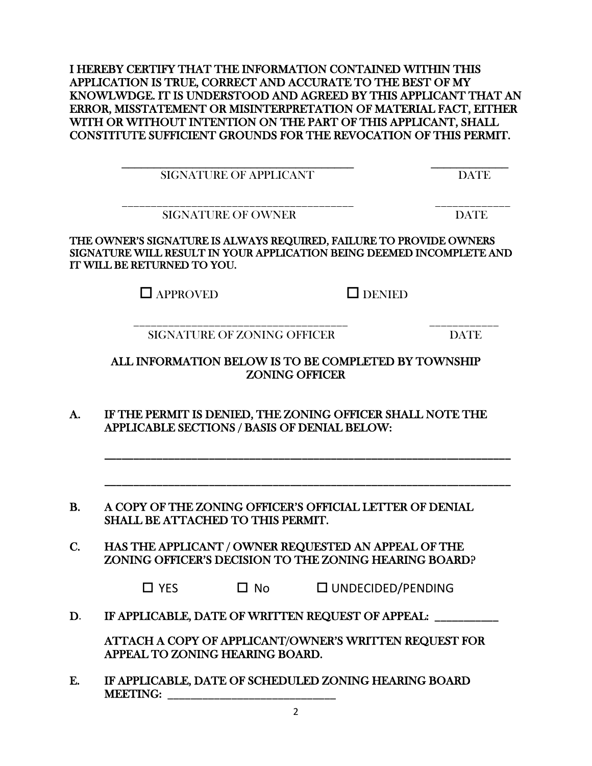I HEREBY CERTIFY THAT THE INFORMATION CONTAINED WITHIN THIS APPLICATION IS TRUE, CORRECT AND ACCURATE TO THE BEST OF MY KNOWLWDGE. IT IS UNDERSTOOD AND AGREED BY THIS APPLICANT THAT AN ERROR, MISSTATEMENT OR MISINTERPRETATION OF MATERIAL FACT, EITHER WITH OR WITHOUT INTENTION ON THE PART OF THIS APPLICANT, SHALL CONSTITUTE SUFFICIENT GROUNDS FOR THE REVOCATION OF THIS PERMIT.

| A NT<br>SIG.<br>JRE OF<br>16<br>A PPI<br>'NL.<br>$\mathbf{A}^{\prime}$<br><u>UIUI</u><br>.<br>.<br>~ |  |
|------------------------------------------------------------------------------------------------------|--|

\_\_\_\_\_\_\_\_\_\_\_\_\_\_\_\_\_\_\_\_\_\_\_\_\_\_\_\_\_\_\_\_\_\_\_\_\_\_\_\_ \_\_\_\_\_\_\_\_\_\_\_\_\_ SIGNATURE OF OWNER DATE DATE

THE OWNER'S SIGNATURE IS ALWAYS REQUIRED, FAILURE TO PROVIDE OWNERS SIGNATURE WILL RESULT IN YOUR APPLICATION BEING DEEMED INCOMPLETE AND IT WILL BE RETURNED TO YOU.

 $\Box$  APPROVED  $\Box$  DENIED

 \_\_\_\_\_\_\_\_\_\_\_\_\_\_\_\_\_\_\_\_\_\_\_\_\_\_\_\_\_\_\_\_\_\_\_\_\_ \_\_\_\_\_\_\_\_\_\_\_\_ SIGNATURE OF ZONING OFFICER DATE

ALL INFORMATION BELOW IS TO BE COMPLETED BY TOWNSHIP ZONING OFFICER

\_\_\_\_\_\_\_\_\_\_\_\_\_\_\_\_\_\_\_\_\_\_\_\_\_\_\_\_\_\_\_\_\_\_\_\_\_\_\_\_\_\_\_\_\_\_\_\_\_\_\_\_\_\_\_\_\_\_\_\_\_\_\_\_\_\_\_\_\_\_

\_\_\_\_\_\_\_\_\_\_\_\_\_\_\_\_\_\_\_\_\_\_\_\_\_\_\_\_\_\_\_\_\_\_\_\_\_\_\_\_\_\_\_\_\_\_\_\_\_\_\_\_\_\_\_\_\_\_\_\_\_\_\_\_\_\_\_\_\_\_

- A. IF THE PERMIT IS DENIED, THE ZONING OFFICER SHALL NOTE THE APPLICABLE SECTIONS / BASIS OF DENIAL BELOW:
- B. A COPY OF THE ZONING OFFICER'S OFFICIAL LETTER OF DENIAL SHALL BE ATTACHED TO THIS PERMIT.
- C. HAS THE APPLICANT / OWNER REQUESTED AN APPEAL OF THE ZONING OFFICER'S DECISION TO THE ZONING HEARING BOARD?

| $\square$ YES<br>$\Box$ No | $\square$ UNDECIDED/PENDING |
|----------------------------|-----------------------------|
|----------------------------|-----------------------------|

D. IF APPLICABLE, DATE OF WRITTEN REQUEST OF APPEAL: \_\_\_\_\_\_\_\_\_

ATTACH A COPY OF APPLICANT/OWNER'S WRITTEN REQUEST FOR APPEAL TO ZONING HEARING BOARD.

E. IF APPLICABLE, DATE OF SCHEDULED ZONING HEARING BOARD MEETING: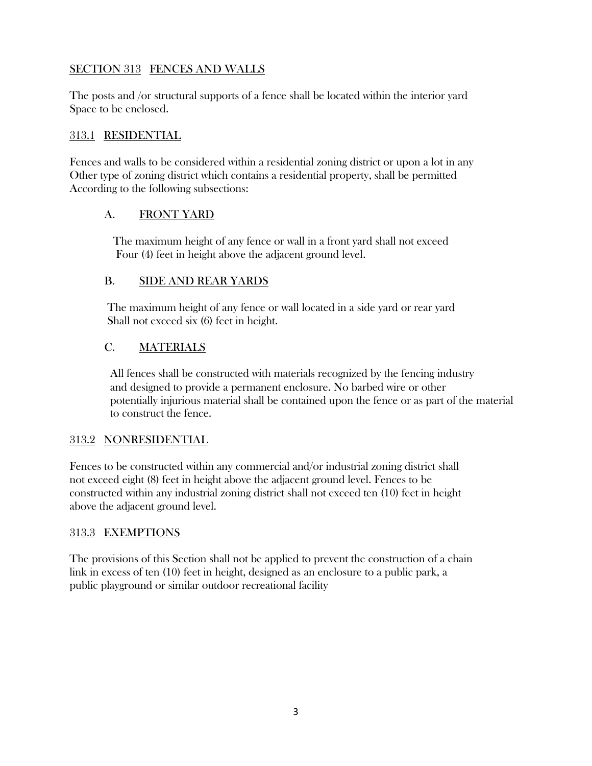## SECTION 313 FENCES AND WALLS

The posts and /or structural supports of a fence shall be located within the interior yard Space to be enclosed.

#### 313.1 RESIDENTIAL

Fences and walls to be considered within a residential zoning district or upon a lot in any Other type of zoning district which contains a residential property, shall be permitted According to the following subsections:

### A. FRONT YARD

 The maximum height of any fence or wall in a front yard shall not exceed Four (4) feet in height above the adjacent ground level.

#### B. SIDE AND REAR YARDS

The maximum height of any fence or wall located in a side yard or rear yard Shall not exceed six (6) feet in height.

#### C. MATERIALS

 All fences shall be constructed with materials recognized by the fencing industry and designed to provide a permanent enclosure. No barbed wire or other potentially injurious material shall be contained upon the fence or as part of the material to construct the fence.

#### 313.2 NONRESIDENTIAL

Fences to be constructed within any commercial and/or industrial zoning district shall not exceed eight (8) feet in height above the adjacent ground level. Fences to be constructed within any industrial zoning district shall not exceed ten (10) feet in height above the adjacent ground level.

### 313.3 EXEMPTIONS

The provisions of this Section shall not be applied to prevent the construction of a chain link in excess of ten (10) feet in height, designed as an enclosure to a public park, a public playground or similar outdoor recreational facility